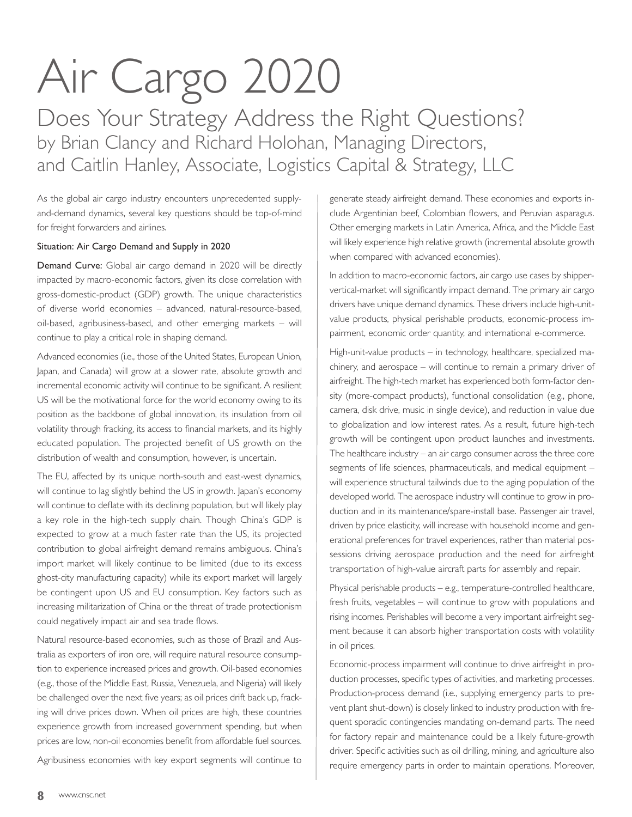## Air Cargo 2020

Does Your Strategy Address the Right Questions? by Brian Clancy and Richard Holohan, Managing Directors, and Caitlin Hanley, Associate, Logistics Capital & Strategy, LLC

As the global air cargo industry encounters unprecedented supplyand-demand dynamics, several key questions should be top-of-mind for freight forwarders and airlines.

## Situation: Air Cargo Demand and Supply in 2020

Demand Curve: Global air cargo demand in 2020 will be directly impacted by macro-economic factors, given its close correlation with gross-domestic-product (GDP) growth. The unique characteristics of diverse world economies – advanced, natural-resource-based, oil-based, agribusiness-based, and other emerging markets – will continue to play a critical role in shaping demand.

Advanced economies (i.e., those of the United States, European Union, Japan, and Canada) will grow at a slower rate, absolute growth and incremental economic activity will continue to be significant. A resilient US will be the motivational force for the world economy owing to its position as the backbone of global innovation, its insulation from oil volatility through fracking, its access to financial markets, and its highly educated population. The projected benefit of US growth on the distribution of wealth and consumption, however, is uncertain.

The EU, affected by its unique north-south and east-west dynamics, will continue to lag slightly behind the US in growth. Japan's economy will continue to deflate with its declining population, but will likely play a key role in the high-tech supply chain. Though China's GDP is expected to grow at a much faster rate than the US, its projected contribution to global airfreight demand remains ambiguous. China's import market will likely continue to be limited (due to its excess ghost-city manufacturing capacity) while its export market will largely be contingent upon US and EU consumption. Key factors such as increasing militarization of China or the threat of trade protectionism could negatively impact air and sea trade flows.

Natural resource-based economies, such as those of Brazil and Australia as exporters of iron ore, will require natural resource consumption to experience increased prices and growth. Oil-based economies (e.g., those of the Middle East, Russia, Venezuela, and Nigeria) will likely be challenged over the next five years; as oil prices drift back up, fracking will drive prices down. When oil prices are high, these countries experience growth from increased government spending, but when prices are low, non-oil economies benefit from affordable fuel sources.

Agribusiness economies with key export segments will continue to

generate steady airfreight demand. These economies and exports include Argentinian beef, Colombian flowers, and Peruvian asparagus. Other emerging markets in Latin America, Africa, and the Middle East will likely experience high relative growth (incremental absolute growth when compared with advanced economies).

In addition to macro-economic factors, air cargo use cases by shippervertical-market will significantly impact demand. The primary air cargo drivers have unique demand dynamics. These drivers include high-unitvalue products, physical perishable products, economic-process impairment, economic order quantity, and international e-commerce.

High-unit-value products – in technology, healthcare, specialized machinery, and aerospace – will continue to remain a primary driver of airfreight. The high-tech market has experienced both form-factor density (more-compact products), functional consolidation (e.g., phone, camera, disk drive, music in single device), and reduction in value due to globalization and low interest rates. As a result, future high-tech growth will be contingent upon product launches and investments. The healthcare industry – an air cargo consumer across the three core segments of life sciences, pharmaceuticals, and medical equipment – will experience structural tailwinds due to the aging population of the developed world. The aerospace industry will continue to grow in production and in its maintenance/spare-install base. Passenger air travel, driven by price elasticity, will increase with household income and generational preferences for travel experiences, rather than material possessions driving aerospace production and the need for airfreight transportation of high-value aircraft parts for assembly and repair.

Physical perishable products – e.g., temperature-controlled healthcare, fresh fruits, vegetables – will continue to grow with populations and rising incomes. Perishables will become a very important airfreight segment because it can absorb higher transportation costs with volatility in oil prices.

Economic-process impairment will continue to drive airfreight in production processes, specific types of activities, and marketing processes. Production-process demand (i.e., supplying emergency parts to prevent plant shut-down) is closely linked to industry production with frequent sporadic contingencies mandating on-demand parts. The need for factory repair and maintenance could be a likely future-growth driver. Specific activities such as oil drilling, mining, and agriculture also require emergency parts in order to maintain operations. Moreover,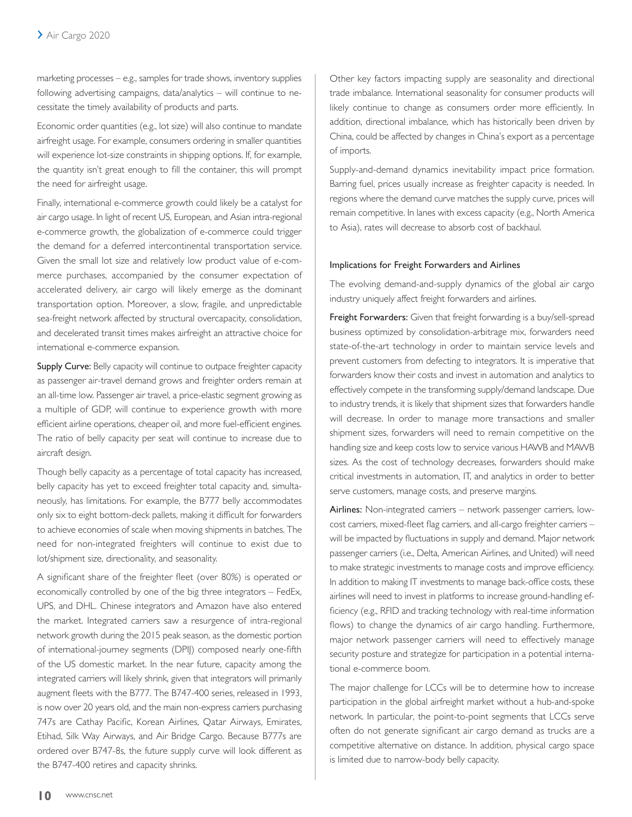marketing processes – e.g., samples for trade shows, inventory supplies following advertising campaigns, data/analytics – will continue to necessitate the timely availability of products and parts.

Economic order quantities (e.g., lot size) will also continue to mandate airfreight usage. For example, consumers ordering in smaller quantities will experience lot-size constraints in shipping options. If, for example, the quantity isn't great enough to fill the container, this will prompt the need for airfreight usage.

Finally, international e-commerce growth could likely be a catalyst for air cargo usage. In light of recent US, European, and Asian intra-regional e-commerce growth, the globalization of e-commerce could trigger the demand for a deferred intercontinental transportation service. Given the small lot size and relatively low product value of e-commerce purchases, accompanied by the consumer expectation of accelerated delivery, air cargo will likely emerge as the dominant transportation option. Moreover, a slow, fragile, and unpredictable sea-freight network affected by structural overcapacity, consolidation, and decelerated transit times makes airfreight an attractive choice for international e-commerce expansion.

**Supply Curve:** Belly capacity will continue to outpace freighter capacity as passenger air-travel demand grows and freighter orders remain at an all-time low. Passenger air travel, a price-elastic segment growing as a multiple of GDP, will continue to experience growth with more efficient airline operations, cheaper oil, and more fuel-efficient engines. The ratio of belly capacity per seat will continue to increase due to aircraft design.

Though belly capacity as a percentage of total capacity has increased, belly capacity has yet to exceed freighter total capacity and, simultaneously, has limitations. For example, the B777 belly accommodates only six to eight bottom-deck pallets, making it difficult for forwarders to achieve economies of scale when moving shipments in batches. The need for non-integrated freighters will continue to exist due to lot/shipment size, directionality, and seasonality.

A significant share of the freighter fleet (over 80%) is operated or economically controlled by one of the big three integrators – FedEx, UPS, and DHL. Chinese integrators and Amazon have also entered the market. Integrated carriers saw a resurgence of intra-regional network growth during the 2015 peak season, as the domestic portion of international-journey segments (DPIJ) composed nearly one-fifth of the US domestic market. In the near future, capacity among the integrated carriers will likely shrink, given that integrators will primarily augment fleets with the B777. The B747-400 series, released in 1993, is now over 20 years old, and the main non-express carriers purchasing 747s are Cathay Pacific, Korean Airlines, Qatar Airways, Emirates, Etihad, Silk Way Airways, and Air Bridge Cargo. Because B777s are ordered over B747-8s, the future supply curve will look different as the B747-400 retires and capacity shrinks.

Other key factors impacting supply are seasonality and directional trade imbalance. International seasonality for consumer products will likely continue to change as consumers order more efficiently. In addition, directional imbalance, which has historically been driven by China, could be affected by changes in China's export as a percentage of imports.

Supply-and-demand dynamics inevitability impact price formation. Barring fuel, prices usually increase as freighter capacity is needed. In regions where the demand curve matches the supply curve, prices will remain competitive. In lanes with excess capacity (e.g., North America to Asia), rates will decrease to absorb cost of backhaul.

## Implications for Freight Forwarders and Airlines

The evolving demand-and-supply dynamics of the global air cargo industry uniquely affect freight forwarders and airlines.

Freight Forwarders: Given that freight forwarding is a buy/sell-spread business optimized by consolidation-arbitrage mix, forwarders need state-of-the-art technology in order to maintain service levels and prevent customers from defecting to integrators. It is imperative that forwarders know their costs and invest in automation and analytics to effectively compete in the transforming supply/demand landscape. Due to industry trends, it is likely that shipment sizes that forwarders handle will decrease. In order to manage more transactions and smaller shipment sizes, forwarders will need to remain competitive on the handling size and keep costs low to service various HAWB and MAWB sizes. As the cost of technology decreases, forwarders should make critical investments in automation, IT, and analytics in order to better serve customers, manage costs, and preserve margins.

Airlines: Non-integrated carriers – network passenger carriers, lowcost carriers, mixed-fleet flag carriers, and all-cargo freighter carriers – will be impacted by fluctuations in supply and demand. Major network passenger carriers (i.e., Delta, American Airlines, and United) will need to make strategic investments to manage costs and improve efficiency. In addition to making IT investments to manage back-office costs, these airlines will need to invest in platforms to increase ground-handling efficiency (e.g., RFID and tracking technology with real-time information flows) to change the dynamics of air cargo handling. Furthermore, major network passenger carriers will need to effectively manage security posture and strategize for participation in a potential international e-commerce boom.

The major challenge for LCCs will be to determine how to increase participation in the global airfreight market without a hub-and-spoke network. In particular, the point-to-point segments that LCCs serve often do not generate significant air cargo demand as trucks are a competitive alternative on distance. In addition, physical cargo space is limited due to narrow-body belly capacity.